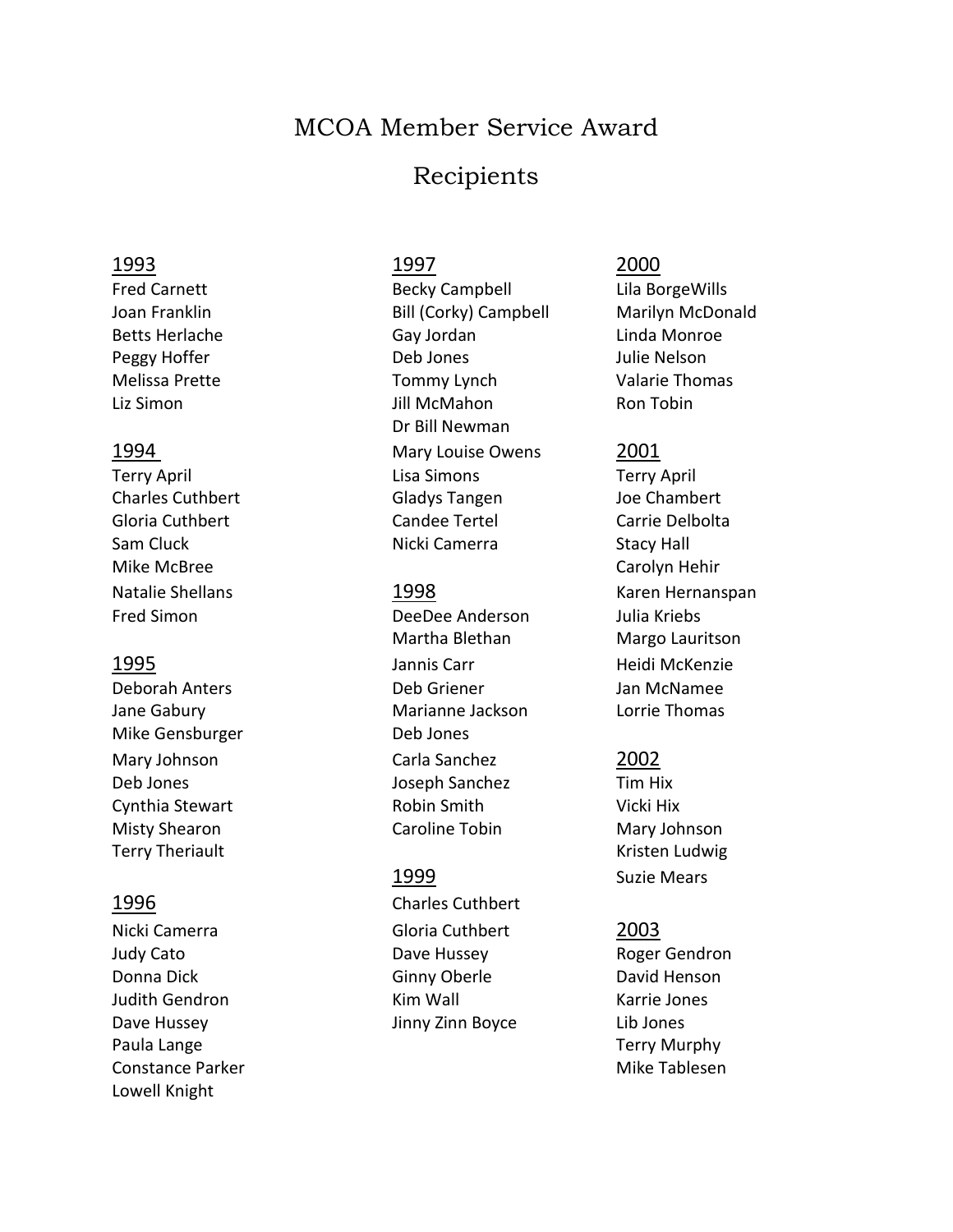# MCOA Member Service Award

# Recipients

### 1993 1997 2000

Mike McBree Carolyn Hehir

Mike Gensburger Deb Jones Terry Theriault **Kristen Ludwig** Communication Communication Communication Communication Communication Communication

Nicki Camerra Gloria Cuthbert 2003 Judy Cato Dave Hussey Roger Gendron Donna Dick Ginny Oberle David Henson Judith Gendron **Kim Wall** Kim Wall Karrie Jones Dave Hussey Jinny Zinn Boyce Lib Jones Paula Lange **Terry Murphy Paula Lange** Terry Murphy Constance Parker Mike Tablesen Mike Tablesen Lowell Knight

Fred Carnett **Becky Campbell** Lila BorgeWills Joan Franklin Bill (Corky) Campbell Marilyn McDonald Betts Herlache Gay Jordan Linda Monroe Peggy Hoffer **Deb Jones** Deb Jones Julie Nelson Melissa Prette Thomas Tommy Lynch Valarie Thomas Liz Simon Jill McMahon Ron Tobin Dr Bill Newman 1994 Mary Louise Owens 2001 Terry April **Terry April** Lisa Simons Terry April Charles Cuthbert Gladys Tangen Joe Chambert Gloria Cuthbert Candee Tertel Carrie Delbolta Sam Cluck **Nicki Camerra** Stacy Hall

Fred Simon DeeDee Anderson Julia Kriebs Martha Blethan Margo Lauritson 1995 Jannis Carr Heidi McKenzie Deborah Anters Deb Griener Jan McNamee Jane Gabury **Marianne Jackson** Lorrie Thomas Mary Johnson Carla Sanchez 2002 Deb Jones Joseph Sanchez Tim Hix Cynthia Stewart **Robin Smith** Vicki Hix Misty Shearon **Caroline Tobin** Mary Johnson

1996 Charles Cuthbert

Natalie Shellans 1998 Karen Hernanspan

1999 Suzie Mears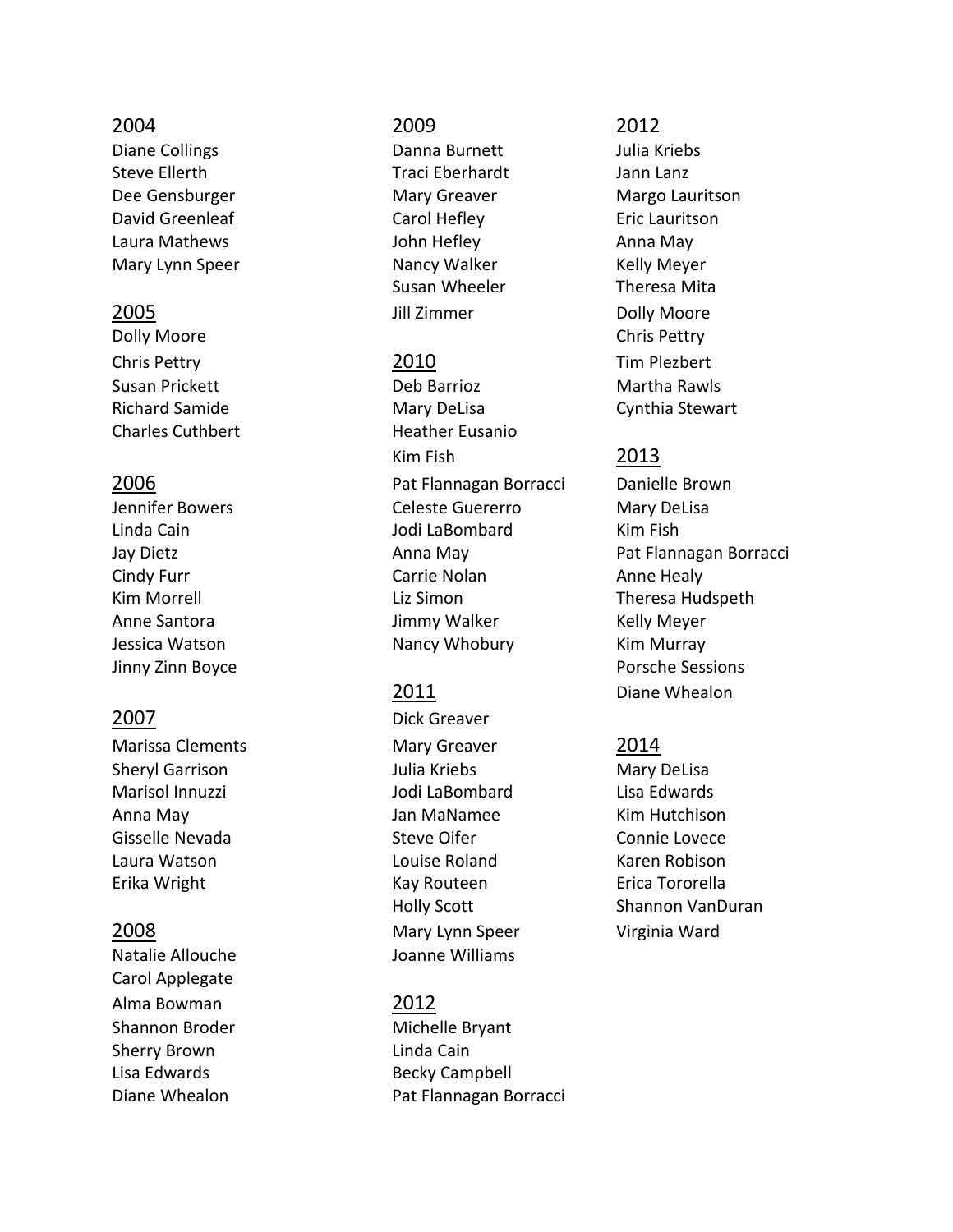Diane Collings **Danna Burnett** Danna Burnett Julia Kriebs Steve Ellerth Traci Eberhardt Jann Lanz David Greenleaf Carol Hefley Eric Lauritson Laura Mathews **Anna May** John Hefley **Anna May** Mary Lynn Speer **Nancy Walker** Kelly Meyer

Dolly Moore Chris Pettry Chris Pettry 2010 Tim Plezbert Charles Cuthbert **Heather Eusanio** 

Natalie Allouche Joanne Williams Carol Applegate Alma Bowman 2012 Shannon Broder Michelle Bryant Sherry Brown **Linda Cain** Lisa Edwards **Becky Campbell** 

### 2004 2009 2012

Susan Wheeler **Theresa Mita** 2005 **State Little State State State State State State State State State State State State State State State State State State State State State State State State State State State State State State State State State State** 

Susan Prickett Deb Barrioz Martha Rawls Richard Samide **Mary DeLisa** Cynthia Stewart Kim Fish 2013 2006 Pat Flannagan Borracci Danielle Brown Jennifer Bowers Celeste Guererro Mary DeLisa Linda Cain Jodi LaBombard Kim Fish Cindy Furr **Carrie Nolan** Carrie Nolan **Anne Healy** Kim Morrell **Rights** Liz Simon **Communist Communist Communist Communist Communist Communist Communist Communist Communist Communist Communist Communist Communist Communist Communist Communist Communist Communist Communist** Anne Santora **Markor Music State Senter Anne Santora** Kelly Meyer Jessica Watson **Nancy Whobury Kim Murray** 

2007 Dick Greaver Marissa Clements Mary Greaver 2014 Sheryl Garrison Julia Kriebs Mary DeLisa Marisol Innuzzi Jodi LaBombard Lisa Edwards Anna May Jan MaNamee Kim Hutchison Gisselle Nevada Steve Oifer Connie Lovece Laura Watson Louise Roland Karen Robison Erika Wright Kay Routeen Erica Tororella 2008 Mary Lynn Speer Virginia Ward

Diane Whealon **Pat Flannagan Borracci** 

Dee Gensburger Mary Greaver Mary Greaver Margo Lauritson

Jay Dietz **Anna May Pat Flannagan Borracci Anna May** Pat Flannagan Borracci Jinny Zinn Boyce **Porsche Sessions** 2011 Diane Whealon

Holly Scott Shannon VanDuran